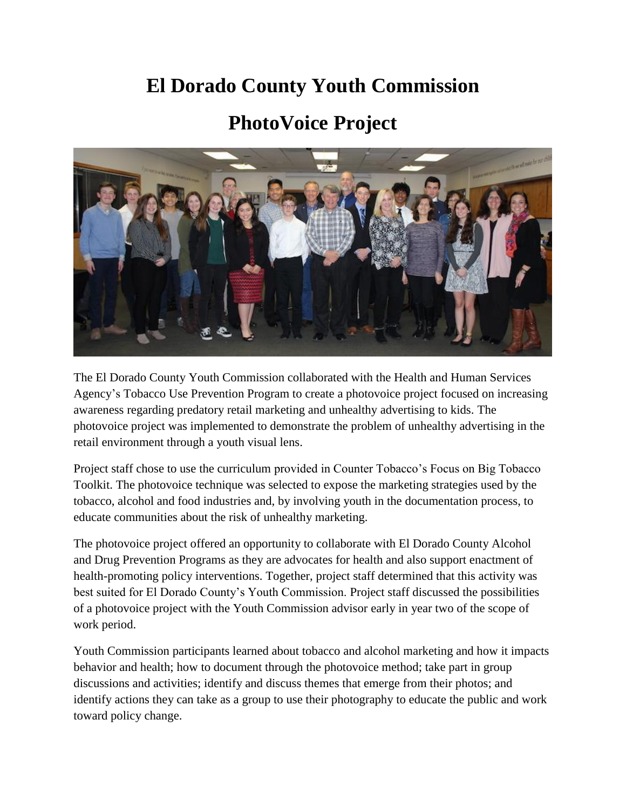## **El Dorado County Youth Commission**

## **PhotoVoice Project**



The El Dorado County Youth Commission collaborated with the Health and Human Services Agency's Tobacco Use Prevention Program to create a photovoice project focused on increasing awareness regarding predatory retail marketing and unhealthy advertising to kids. The photovoice project was implemented to demonstrate the problem of unhealthy advertising in the retail environment through a youth visual lens.

Project staff chose to use the curriculum provided in Counter Tobacco's Focus on Big Tobacco Toolkit. The photovoice technique was selected to expose the marketing strategies used by the tobacco, alcohol and food industries and, by involving youth in the documentation process, to educate communities about the risk of unhealthy marketing.

The photovoice project offered an opportunity to collaborate with El Dorado County Alcohol and Drug Prevention Programs as they are advocates for health and also support enactment of health-promoting policy interventions. Together, project staff determined that this activity was best suited for El Dorado County's Youth Commission. Project staff discussed the possibilities of a photovoice project with the Youth Commission advisor early in year two of the scope of work period.

Youth Commission participants learned about tobacco and alcohol marketing and how it impacts behavior and health; how to document through the photovoice method; take part in group discussions and activities; identify and discuss themes that emerge from their photos; and identify actions they can take as a group to use their photography to educate the public and work toward policy change.